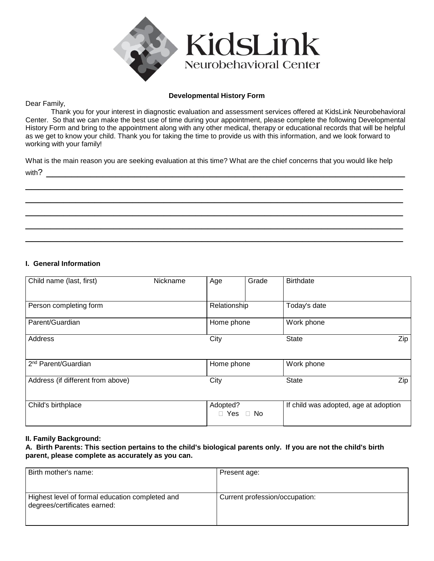

#### **Developmental History Form**

Dear Family,

Thank you for your interest in diagnostic evaluation and assessment services offered at KidsLink Neurobehavioral Center. So that we can make the best use of time during your appointment, please complete the following Developmental History Form and bring to the appointment along with any other medical, therapy or educational records that will be helpful as we get to know your child. Thank you for taking the time to provide us with this information, and we look forward to working with your family!

What is the main reason you are seeking evaluation at this time? What are the chief concerns that you would like help with?  $\_$ 

\_\_\_\_\_\_\_\_\_\_\_\_\_\_\_\_\_\_\_\_\_\_\_\_\_\_\_\_\_\_\_\_\_\_\_\_\_\_\_\_\_\_\_\_\_\_\_\_\_\_\_\_\_\_\_\_\_\_\_\_ \_\_\_\_\_\_\_\_\_\_\_\_\_\_\_\_\_\_\_\_\_\_\_\_\_\_\_\_\_\_\_\_\_\_\_\_\_\_\_\_\_\_\_\_\_\_\_\_\_\_\_\_\_\_\_\_\_\_\_\_ \_\_\_\_\_\_\_\_\_\_\_\_\_\_\_\_\_\_\_\_\_\_\_\_\_\_\_\_\_\_\_\_\_\_\_\_\_\_\_\_\_\_\_\_\_\_\_\_\_\_\_\_\_\_\_\_\_\_\_\_ \_\_\_\_\_\_\_\_\_\_\_\_\_\_\_\_\_\_\_\_\_\_\_\_\_\_\_\_\_\_\_\_\_\_\_\_\_\_\_\_\_\_\_\_\_\_\_\_\_\_\_\_\_\_\_\_\_\_\_\_ \_\_\_\_\_\_\_\_\_\_\_\_\_\_\_\_\_\_\_\_\_\_\_\_\_\_\_\_\_\_\_\_\_\_\_\_\_\_\_\_\_\_\_\_\_\_\_\_\_\_\_\_\_\_\_\_\_\_\_\_

#### **I. General Information**

| Child name (last, first)          | Nickname | Age                  | Grade | <b>Birthdate</b>                      |     |
|-----------------------------------|----------|----------------------|-------|---------------------------------------|-----|
| Person completing form            |          | Relationship         |       | Today's date                          |     |
| Parent/Guardian                   |          | Home phone           |       | Work phone                            |     |
| Address                           |          | City                 |       | <b>State</b>                          | Zip |
| 2 <sup>nd</sup> Parent/Guardian   |          | Home phone           |       | Work phone                            |     |
| Address (if different from above) |          | City                 |       | <b>State</b>                          |     |
| Child's birthplace                |          | Adopted?             |       | If child was adopted, age at adoption |     |
|                                   |          | $\Box$ Yes $\Box$ No |       |                                       |     |

#### **II. Family Background:**

**A. Birth Parents: This section pertains to the child's biological parents only. If you are not the child's birth parent, please complete as accurately as you can.**

| Birth mother's name:                                                            | Present age:                   |
|---------------------------------------------------------------------------------|--------------------------------|
| Highest level of formal education completed and<br>degrees/certificates earned: | Current profession/occupation: |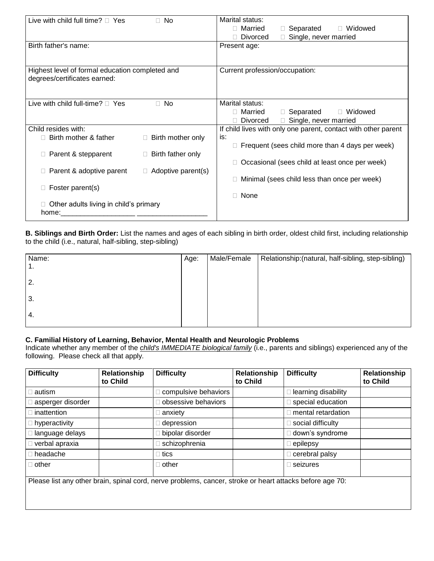| Live with child full time? $\Box$ Yes           | $\Box$ No                   | Marital status:                                                |
|-------------------------------------------------|-----------------------------|----------------------------------------------------------------|
|                                                 |                             | □ Married<br>□ Separated<br>□ Widowed                          |
|                                                 |                             | <b>Divorced</b><br>Single, never married                       |
| Birth father's name:                            |                             | Present age:                                                   |
|                                                 |                             |                                                                |
| Highest level of formal education completed and |                             | Current profession/occupation:                                 |
| degrees/certificates earned:                    |                             |                                                                |
|                                                 |                             |                                                                |
| Live with child full-time? $\sqcap$ Yes         | $\Box$ No                   | Marital status:                                                |
|                                                 |                             | □ Married<br>$\Box$ Separated<br>$\Box$ Widowed                |
|                                                 |                             | Single, never married<br><b>Divorced</b>                       |
| Child resides with:                             |                             | If child lives with only one parent, contact with other parent |
| Birth mother & father                           | Birth mother only<br>$\Box$ | is:                                                            |
|                                                 |                             | Frequent (sees child more than 4 days per week)                |
| Parent & stepparent<br>П.                       | Birth father only<br>$\Box$ |                                                                |
|                                                 |                             | Occasional (sees child at least once per week)                 |
| Parent & adoptive parent                        | $\Box$ Adoptive parent(s)   |                                                                |
|                                                 |                             | Minimal (sees child less than once per week)                   |
| Foster parent(s)                                |                             | None                                                           |
|                                                 |                             |                                                                |
| Other adults living in child's primary<br>home: |                             |                                                                |
|                                                 |                             |                                                                |

**B. Siblings and Birth Order:** List the names and ages of each sibling in birth order, oldest child first, including relationship to the child (i.e., natural, half-sibling, step-sibling)

| Name:            | Age: | Male/Female | Relationship: (natural, half-sibling, step-sibling) |
|------------------|------|-------------|-----------------------------------------------------|
| 1.               |      |             |                                                     |
| $\overline{2}$ . |      |             |                                                     |
| 3.               |      |             |                                                     |
| 4.               |      |             |                                                     |
|                  |      |             |                                                     |

# **C. Familial History of Learning, Behavior, Mental Health and Neurologic Problems**

Indicate whether any member of the *child's IMMEDIATE biological family* (i.e., parents and siblings) experienced any of the following. Please check all that apply.

| <b>Difficulty</b>     | Relationship<br>to Child | <b>Difficulty</b>                                                                                        | <b>Relationship</b><br>to Child | <b>Difficulty</b>   | Relationship<br>to Child |
|-----------------------|--------------------------|----------------------------------------------------------------------------------------------------------|---------------------------------|---------------------|--------------------------|
| autism                |                          | compulsive behaviors                                                                                     |                                 | learning disability |                          |
| asperger disorder     |                          | obsessive behaviors                                                                                      |                                 | special education   |                          |
| inattention           |                          | anxiety                                                                                                  |                                 | mental retardation  |                          |
| $\Box$ hyperactivity  |                          | depression                                                                                               |                                 | social difficulty   |                          |
| language delays       |                          | bipolar disorder                                                                                         |                                 | down's syndrome     |                          |
| $\Box$ verbal apraxia |                          | schizophrenia                                                                                            |                                 | epilepsy            |                          |
| $\Box$ headache       |                          | ∣ tics                                                                                                   |                                 | cerebral palsy      |                          |
| $\Box$ other          |                          | ∣ other                                                                                                  |                                 | seizures            |                          |
|                       |                          | Please list any other brain, spinal cord, nerve problems, cancer, stroke or heart attacks before age 70: |                                 |                     |                          |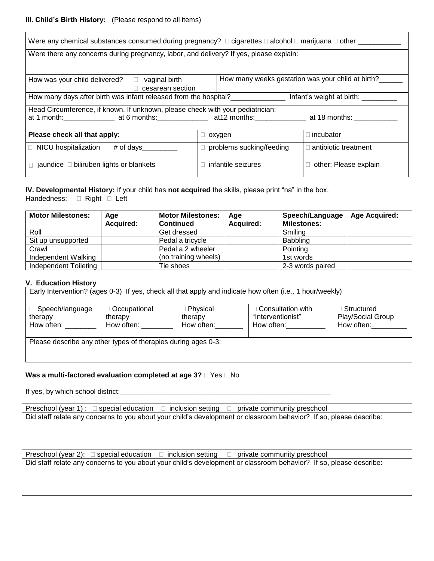# **III. Child's Birth History:** (Please respond to all items)

| Were any chemical substances consumed during pregnancy? $\Box$ cigarettes $\Box$ alcohol $\Box$ marijuana $\Box$ other ______      |               |                          |                              |  |  |
|------------------------------------------------------------------------------------------------------------------------------------|---------------|--------------------------|------------------------------|--|--|
| Were there any concerns during pregnancy, labor, and delivery? If yes, please explain:                                             |               |                          |                              |  |  |
| How many weeks gestation was your child at birth?<br>How was your child delivered? $\Box$ vaginal birth<br>$\Box$ cesarean section |               |                          |                              |  |  |
| How many days after birth was infant released from the hospital?                                                                   |               |                          | Infant's weight at birth:    |  |  |
| Head Circumference, if known. If unknown, please check with your pediatrician:                                                     |               |                          |                              |  |  |
| Please check all that apply:                                                                                                       | $\Box$ oxygen |                          | $\sqcap$ incubator           |  |  |
| $\Box$ NICU hospitalization # of days                                                                                              |               | problems sucking/feeding | $\Box$ antibiotic treatment  |  |  |
| $\Box$ jaundice $\Box$ biliruben lights or blankets                                                                                |               | infantile seizures       | $\Box$ other; Please explain |  |  |

**IV. Developmental History:** If your child has **not acquired** the skills, please print "na" in the box. Handedness: **D** Right **D** Left

| <b>Motor Milestones:</b> | Age              | <b>Motor Milestones:</b> | Age              | Speech/Language    | <b>Age Acquired:</b> |
|--------------------------|------------------|--------------------------|------------------|--------------------|----------------------|
|                          | <b>Acquired:</b> | <b>Continued</b>         | <b>Acquired:</b> | <b>Milestones:</b> |                      |
| Roll                     |                  | Get dressed              |                  | Smilina            |                      |
| Sit up unsupported       |                  | Pedal a tricycle         |                  | Babbling           |                      |
| Crawl                    |                  | Pedal a 2 wheeler        |                  | Pointing           |                      |
| Independent Walking      |                  | (no training wheels)     |                  | 1st words          |                      |
| Independent Toileting    |                  | Tie shoes                |                  | 2-3 words paired   |                      |

#### **V. Education History**

| Early Intervention? (ages 0-3) If yes, check all that apply and indicate how often (i.e., 1 hour/weekly) |                                         |                                     |                                                             |                                                 |
|----------------------------------------------------------------------------------------------------------|-----------------------------------------|-------------------------------------|-------------------------------------------------------------|-------------------------------------------------|
| $\Box$ Speech/language<br>therapy<br>How often:                                                          | □ Occupational<br>therapy<br>How often: | □ Physical<br>therapy<br>How often: | $\Box$ Consultation with<br>"Interventionist"<br>How often: | ∃ Structured<br>Play/Social Group<br>How often: |
| Please describe any other types of therapies during ages 0-3:                                            |                                         |                                     |                                                             |                                                 |

#### **Was a multi-factored evaluation completed at age 3?**  $\Box$  Yes  $\Box$  No

If yes, by which school district:\_\_\_\_\_\_\_\_\_\_\_\_\_\_\_\_\_\_\_\_\_\_\_\_\_\_\_\_\_\_\_\_\_\_\_\_\_\_\_\_\_\_\_\_\_\_\_\_\_\_\_\_\_\_

Preschool (year 1) :  $\Box$  special education  $\Box$  inclusion setting  $\Box$  private community preschool Did staff relate any concerns to you about your child's development or classroom behavior? If so, please describe:

Preschool (year 2):  $\Box$  special education  $\Box$  inclusion setting  $\Box$  private community preschool Did staff relate any concerns to you about your child's development or classroom behavior? If so, please describe: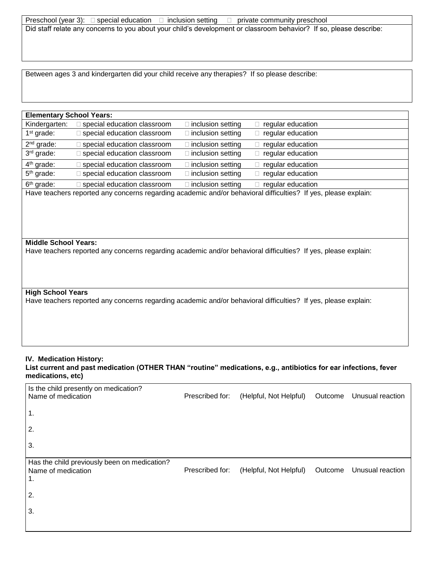| Preschool (year 3): $\square$ special education $\square$ inclusion setting $\square$ private community preschool  |  |
|--------------------------------------------------------------------------------------------------------------------|--|
| Did staff relate any concerns to you about your child's development or classroom behavior? If so, please describe: |  |
|                                                                                                                    |  |

Between ages 3 and kindergarten did your child receive any therapies? If so please describe:

# **Elementary School Years:** Kindergarten:  $\square$  special education classroom  $\square$  inclusion setting  $\square$  regular education 1<sup>st</sup> grade:  $\Box$  special education classroom  $\Box$  inclusion setting  $\Box$  regular education 2<sup>nd</sup> grade:  $\Box$  special education classroom  $\Box$  inclusion setting  $\Box$  regular education 3rd grade:  $\Box$  special education classroom  $\Box$  inclusion setting  $\Box$  regular education 4<sup>th</sup> grade:  $\Box$  special education classroom  $\Box$  inclusion setting  $\Box$  regular education 5<sup>th</sup> grade:  $\Box$  special education classroom  $\Box$  inclusion setting  $\Box$  regular education 6<sup>th</sup> grade:  $\Box$  special education classroom  $\Box$  inclusion setting  $\Box$  regular education Have teachers reported any concerns regarding academic and/or behavioral difficulties? If yes, please explain: **Middle School Years:**  Have teachers reported any concerns regarding academic and/or behavioral difficulties? If yes, please explain: **High School Years**  Have teachers reported any concerns regarding academic and/or behavioral difficulties? If yes, please explain:

#### **IV. Medication History:**

**List current and past medication (OTHER THAN "routine" medications, e.g., antibiotics for ear infections, fever medications, etc)** 

| Is the child presently on medication?<br>Name of medication              | Prescribed for: | (Helpful, Not Helpful) | Outcome | Unusual reaction |
|--------------------------------------------------------------------------|-----------------|------------------------|---------|------------------|
| $\mathbf 1$ .                                                            |                 |                        |         |                  |
| 2.                                                                       |                 |                        |         |                  |
| 3.                                                                       |                 |                        |         |                  |
| Has the child previously been on medication?<br>Name of medication<br>1. | Prescribed for: | (Helpful, Not Helpful) | Outcome | Unusual reaction |
| 2.                                                                       |                 |                        |         |                  |
| 3.                                                                       |                 |                        |         |                  |
|                                                                          |                 |                        |         |                  |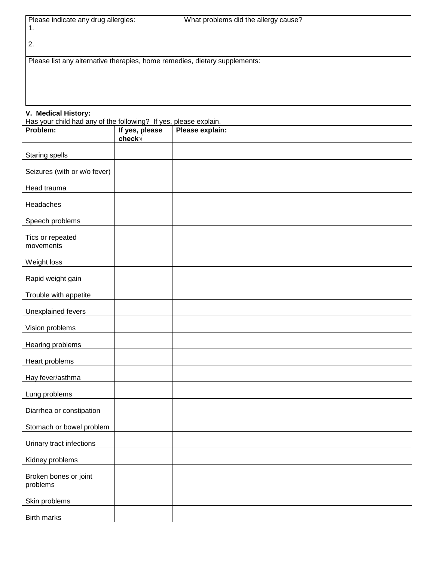| Please indicate any drug allergies: |  |
|-------------------------------------|--|
|                                     |  |

2.

Please list any alternative therapies, home remedies, dietary supplements:

#### **V. Medical History:**

Has your child had any of the following? If yes, please explain.

| Problem:                          | If yes, please<br>check√ | Please explain: |
|-----------------------------------|--------------------------|-----------------|
| <b>Staring spells</b>             |                          |                 |
| Seizures (with or w/o fever)      |                          |                 |
| Head trauma                       |                          |                 |
| Headaches                         |                          |                 |
| Speech problems                   |                          |                 |
| Tics or repeated<br>movements     |                          |                 |
| Weight loss                       |                          |                 |
| Rapid weight gain                 |                          |                 |
| Trouble with appetite             |                          |                 |
| <b>Unexplained fevers</b>         |                          |                 |
| Vision problems                   |                          |                 |
| <b>Hearing problems</b>           |                          |                 |
| Heart problems                    |                          |                 |
| Hay fever/asthma                  |                          |                 |
| Lung problems                     |                          |                 |
| Diarrhea or constipation          |                          |                 |
| Stomach or bowel problem          |                          |                 |
| Urinary tract infections          |                          |                 |
| Kidney problems                   |                          |                 |
| Broken bones or joint<br>problems |                          |                 |
| Skin problems                     |                          |                 |
| <b>Birth marks</b>                |                          |                 |